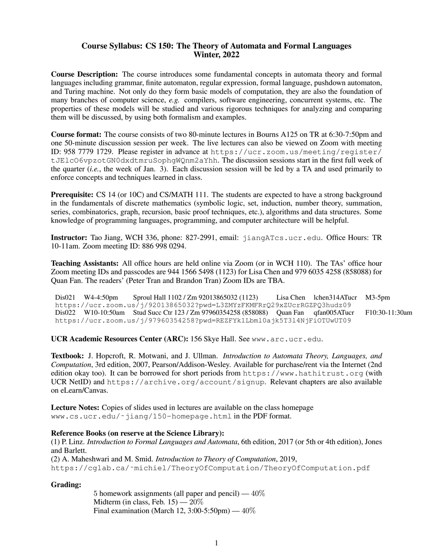## Course Syllabus: CS 150: The Theory of Automata and Formal Languages Winter, 2022

Course Description: The course introduces some fundamental concepts in automata theory and formal languages including grammar, finite automaton, regular expression, formal language, pushdown automaton, and Turing machine. Not only do they form basic models of computation, they are also the foundation of many branches of computer science, *e.g.* compilers, software engineering, concurrent systems, etc. The properties of these models will be studied and various rigorous techniques for analyzing and comparing them will be discussed, by using both formalism and examples.

Course format: The course consists of two 80-minute lectures in Bourns A125 on TR at 6:30-7:50pm and one 50-minute discussion session per week. The live lectures can also be viewed on Zoom with meeting ID: 958 7779 1729. Please register in advance at [https://ucr.zoom.us/meeting/register/](https://ucr.zoom.us/meeting/register/tJElcO6vpzotGN0dxdtmruSophgWQnm2aYhh) [tJElcO6vpzotGN0dxdtmruSophgWQnm2aYhh](https://ucr.zoom.us/meeting/register/tJElcO6vpzotGN0dxdtmruSophgWQnm2aYhh). The discussion sessions start in the first full week of the quarter (*i.e.*, the week of Jan. 3). Each discussion session will be led by a TA and used primarily to enforce concepts and techniques learned in class.

Prerequisite: CS 14 (or 10C) and CS/MATH 111. The students are expected to have a strong background in the fundamentals of discrete mathematics (symbolic logic, set, induction, number theory, summation, series, combinatorics, graph, recursion, basic proof techniques, etc.), algorithms and data structures. Some knowledge of programming languages, programming, and computer architecture will be helpful.

Instructor: Tao Jiang, WCH 336, phone: 827-2991, email: jiangATcs.ucr.edu. Office Hours: TR 10-11am. Zoom meeting ID: 886 998 0294.

Teaching Assistants: All office hours are held online via Zoom (or in WCH 110). The TAs' office hour Zoom meeting IDs and passcodes are 944 1566 5498 (1123) for Lisa Chen and 979 6035 4258 (858088) for Quan Fan. The readers' (Peter Tran and Brandon Tran) Zoom IDs are TBA.

Dis021 W4-4:50pm Sproul Hall 1102 / Zm 92013865032 (1123) Lisa Chen lchen314ATucr M3-5pm <https://ucr.zoom.us/j/92013865032?pwd=L3ZMYzFKMFRrQ29xZUcrRGZPQ3hudz09> Dis022 W10-10:50am Stud Succ Ctr 123 / Zm 97960354258 (858088) Quan Fan qfan005ATucr F10:30-11:30am <https://ucr.zoom.us/j/97960354258?pwd=REZFYk1Lbml0ajk5T3l4NjFiOTUwUT09>

UCR Academic Resources Center (ARC): 156 Skye Hall. See <www.arc.ucr.edu>.

Textbook: J. Hopcroft, R. Motwani, and J. Ullman. *Introduction to Automata Theory, Languages, and Computation*, 3rd edition, 2007, Pearson/Addison-Wesley. Available for purchase/rent via the Internet (2nd edition okay too). It can be borrowed for short periods from <https://www.hathitrust.org> (with UCR NetID) and <https://archive.org/account/signup>. Relevant chapters are also available on eLearn/Canvas.

Lecture Notes: Copies of slides used in lectures are available on the class homepage [www.cs.ucr.edu/˜jiang/150-homepage.html](www.cs.ucr.edu/~jiang/150-homepage.html) in the PDF format.

## Reference Books (on reserve at the Science Library):

(1) P. Linz. *Introduction to Formal Languages and Automata*, 6th edition, 2017 (or 5th or 4th edition), Jones and Barlett.

(2) A. Maheshwari and M. Smid. *Introduction to Theory of Computation*, 2019, [https://cglab.ca/˜michiel/TheoryOfComputation/TheoryOfComputation.pdf](https://cglab.ca/~michiel/TheoryOfComputation/TheoryOfComputation.pdf)

## Grading:

5 homework assignments (all paper and pencil)  $-40\%$ Midterm (in class, Feb.  $15$ ) —  $20\%$ Final examination (March 12, 3:00-5:50pm) —  $40\%$